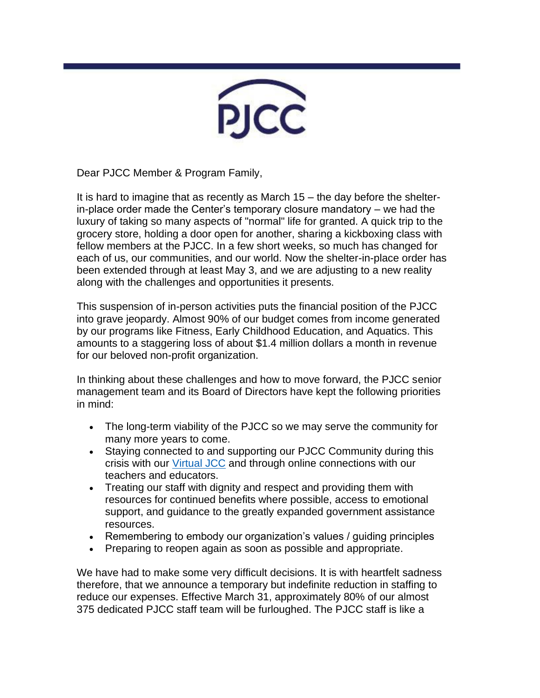

Dear PJCC Member & Program Family,

It is hard to imagine that as recently as March 15 – the day before the shelterin-place order made the Center's temporary closure mandatory – we had the luxury of taking so many aspects of "normal" life for granted. A quick trip to the grocery store, holding a door open for another, sharing a kickboxing class with fellow members at the PJCC. In a few short weeks, so much has changed for each of us, our communities, and our world. Now the shelter-in-place order has been extended through at least May 3, and we are adjusting to a new reality along with the challenges and opportunities it presents.

This suspension of in-person activities puts the financial position of the PJCC into grave jeopardy. Almost 90% of our budget comes from income generated by our programs like Fitness, Early Childhood Education, and Aquatics. This amounts to a staggering loss of about \$1.4 million dollars a month in revenue for our beloved non-profit organization.

In thinking about these challenges and how to move forward, the PJCC senior management team and its Board of Directors have kept the following priorities in mind:

- The long-term viability of the PJCC so we may serve the community for many more years to come.
- Staying connected to and supporting our PJCC Community during this crisis with our [Virtual JCC](https://pjcc.acemlna.com/lt.php?notrack=1¬rack=1&s=bad97c655476f96a390a72c05a742011&i=172A381A60A1260) and through online connections with our teachers and educators.
- Treating our staff with dignity and respect and providing them with resources for continued benefits where possible, access to emotional support, and guidance to the greatly expanded government assistance resources.
- Remembering to embody our organization's values / guiding principles
- Preparing to reopen again as soon as possible and appropriate.

We have had to make some very difficult decisions. It is with heartfelt sadness therefore, that we announce a temporary but indefinite reduction in staffing to reduce our expenses. Effective March 31, approximately 80% of our almost 375 dedicated PJCC staff team will be furloughed. The PJCC staff is like a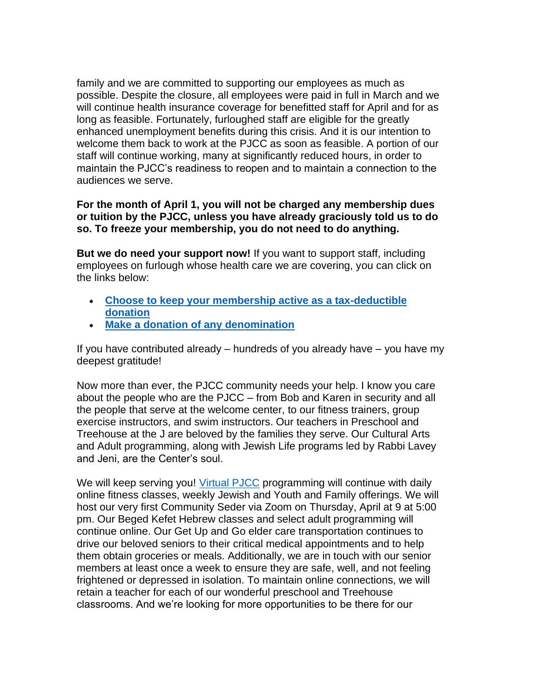family and we are committed to supporting our employees as much as possible. Despite the closure, all employees were paid in full in March and we will continue health insurance coverage for benefitted staff for April and for as long as feasible. Fortunately, furloughed staff are eligible for the greatly enhanced unemployment benefits during this crisis. And it is our intention to welcome them back to work at the PJCC as soon as feasible. A portion of our staff will continue working, many at significantly reduced hours, in order to maintain the PJCC's readiness to reopen and to maintain a connection to the audiences we serve.

## **For the month of April 1, you will not be charged any membership dues or tuition by the PJCC, unless you have already graciously told us to do so. To freeze your membership, you do not need to do anything.**

**But we do need your support now!** If you want to support staff, including employees on furlough whose health care we are covering, you can click on the links below:

- **[Choose to keep your membership active as a tax-deductible](mailto:memberservices@pjcc.org?subject=Keep%20My%20Membership%20Active%20in%20Support%20of%20Staff)  [donation](mailto:memberservices@pjcc.org?subject=Keep%20My%20Membership%20Active%20in%20Support%20of%20Staff)**
- **[Make a donation of any denomination](https://pjcc.acemlna.com/lt.php?notrack=1¬rack=1&s=bad97c655476f96a390a72c05a742011&i=172A381A60A1246)**

If you have contributed already – hundreds of you already have – you have my deepest gratitude!

Now more than ever, the PJCC community needs your help. I know you care about the people who are the PJCC – from Bob and Karen in security and all the people that serve at the welcome center, to our fitness trainers, group exercise instructors, and swim instructors. Our teachers in Preschool and Treehouse at the J are beloved by the families they serve. Our Cultural Arts and Adult programming, along with Jewish Life programs led by Rabbi Lavey and Jeni, are the Center's soul.

We will keep serving you! [Virtual PJCC](https://pjcc.acemlna.com/lt.php?notrack=1¬rack=1&s=bad97c655476f96a390a72c05a742011&i=172A381A60A1260) programming will continue with daily online fitness classes, weekly Jewish and Youth and Family offerings. We will host our very first Community Seder via Zoom on Thursday, April at 9 at 5:00 pm. Our Beged Kefet Hebrew classes and select adult programming will continue online. Our Get Up and Go elder care transportation continues to drive our beloved seniors to their critical medical appointments and to help them obtain groceries or meals. Additionally, we are in touch with our senior members at least once a week to ensure they are safe, well, and not feeling frightened or depressed in isolation. To maintain online connections, we will retain a teacher for each of our wonderful preschool and Treehouse classrooms. And we're looking for more opportunities to be there for our